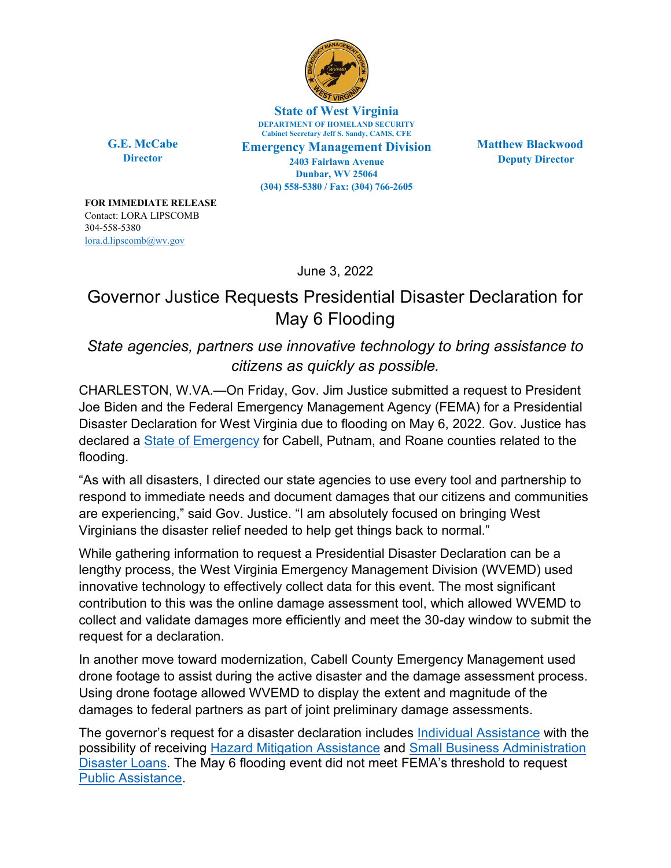

**State of West Virginia DEPARTMENT OF HOMELAND SECURITY Cabinet Secretary Jeff S. Sandy, CAMS, CFE**

**G.E. McCabe Director**

**Emergency Management Division 2403 Fairlawn Avenue Dunbar, WV 25064 (304) 558-5380 / Fax: (304) 766-2605**

**Matthew Blackwood Deputy Director**

**FOR IMMEDIATE RELEASE** Contact: LORA LIPSCOMB 304-558-5380 [lora.d.lipscomb@wv.gov](mailto:lora.d.lipscomb@wv.gov)

June 3, 2022

## Governor Justice Requests Presidential Disaster Declaration for May 6 Flooding

## *State agencies, partners use innovative technology to bring assistance to citizens as quickly as possible.*

CHARLESTON, W.VA.—On Friday, Gov. Jim Justice submitted a request to President Joe Biden and the Federal Emergency Management Agency (FEMA) for a Presidential Disaster Declaration for West Virginia due to flooding on May 6, 2022. Gov. Justice has declared a [State of Emergency](https://governor.wv.gov/News/press-releases/2022/Pages/Governor-Justice-declares-State-of-Preparedness-for-all-55-counties-ahead-of-potential-flooding.aspx) for Cabell, Putnam, and Roane counties related to the flooding.

"As with all disasters, I directed our state agencies to use every tool and partnership to respond to immediate needs and document damages that our citizens and communities are experiencing," said Gov. Justice. "I am absolutely focused on bringing West Virginians the disaster relief needed to help get things back to normal."

While gathering information to request a Presidential Disaster Declaration can be a lengthy process, the West Virginia Emergency Management Division (WVEMD) used innovative technology to effectively collect data for this event. The most significant contribution to this was the online damage assessment tool, which allowed WVEMD to collect and validate damages more efficiently and meet the 30-day window to submit the request for a declaration.

In another move toward modernization, Cabell County Emergency Management used drone footage to assist during the active disaster and the damage assessment process. Using drone footage allowed WVEMD to display the extent and magnitude of the damages to federal partners as part of joint preliminary damage assessments.

The governor's request for a disaster declaration includes [Individual Assistance](https://www.fema.gov/fact-sheet/understanding-fema-individual-assistance-and-public-assistance-0) with the possibility of receiving [Hazard Mitigation Assistance](https://www.fema.gov/grants/mitigation/hazard-mitigation) and [Small Business Administration](https://www.sba.gov/funding-programs/disaster-assistance)  [Disaster Loans.](https://www.sba.gov/funding-programs/disaster-assistance) The May 6 flooding event did not meet FEMA's threshold to request [Public Assistance.](https://www.fema.gov/assistance/public)